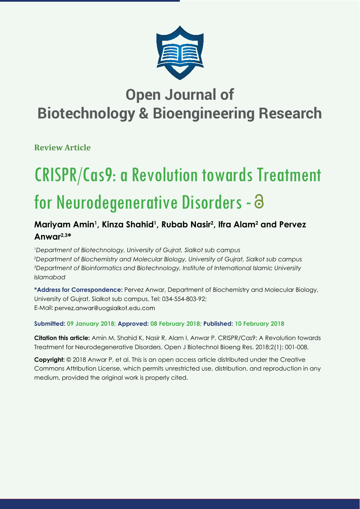

# **Open Journal of Biotechnology & Bioengineering Research**

**Review Article**

# CRISPR/Cas9: a Revolution towards Treatment for Neurodegenerative Disorders - 8

## **Mariyam Amin1 , Kinza Shahid1 , Rubab Nasir2 , Ifra Alam2 and Pervez Anwar2,3\***

 *Department of Biotechnology, University of Gujrat, Sialkot sub campus Department of Biochemistry and Molecular Biology, University of Gujrat, Sialkot sub campus Department of Bioinformatics and Biotechnology, Institute of International Islamic University Islamabad*

**\*Address for Correspondence:** Pervez Anwar, Department of Biochemistry and Molecular Biology, University of Gujrat, Sialkot sub campus, Tel: 034-554-803-92; E-Mail: pervez.anwar@uogsialkot.edu.com

### **Submitted: 09 January 2018; Approved: 08 February 2018; Published: 10 February 2018**

**Citation this article:** Amin M, Shahid K, Nasir R, Alam I, Anwar P. CRISPR/Cas9: A Revolution towards Treatment for Neurodegenerative Disorders. Open J Biotechnol Bioeng Res. 2018;2(1): 001-008.

**Copyright:** © 2018 Anwar P, et al. This is an open access article distributed under the Creative Commons Attribution License, which permits unrestricted use, distribution, and reproduction in any medium, provided the original work is properly cited.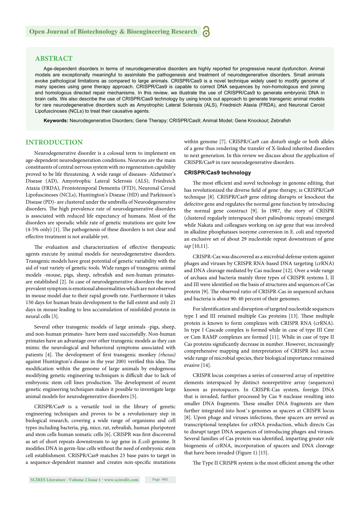#### **ABSTRACT**

Age-dependent disorders in terms of neurodegenerative disorders are highly reported for progressive neural dysfunction. Animal models are exceptionally meaningful to assimilate the pathogenesis and treatment of neurodegenerative disorders. Small animals evoke pathological limitations as compared to large animals. CRISPR/Cas9 is a novel technique widely used to modify genome of many species using gene therapy approach. CRISPR/Cas9 is capable to correct DNA sequences by non-homologous end joining and homologous directed repair mechanisms. In this review, we illustrate the use of CRISPR/Cas9 to generate embryonic DNA in brain cells. We also describe the use of CRISPR/Cas9 technology by using knock out approach to generate transgenic animal models for rare neurodegenerative disorders such as Amyotrophic Lateral Sclerosis (ALS), Friedreich Ataxia (FRDA), and Neuronal Ceroid Lipofuscinoses (NCLs) to treat their causative agents.

Keywords: Neurodegenerative Disorders; Gene Therapy; CRISPR/Cas9; Animal Model; Gene Knockout; Zebrafish

#### **INTRODUCTION**

Neurodegenerative disorder is a colossal term to implement on age-dependent neurodegeneration conditions. Neurons are the main constituents of central nervous system with no regeneration capability proved to be life threatening. A wide range of diseases- Alzheimer's Disease (AD), Amyotrophic Lateral Sclerosis (ALS), Friedreich Ataxia (FRDA), Frontotemporal Dementia (FTD), Neuronal Ceroid Lipofuscinoses (NCLs), Huntington's Disease (HD) and Parkinson's Disease (PD)- are clustered under the umbrella of Neurodegenerative disorders. The high prevalence rate of neurodegenerative disorders is associated with reduced life expectancy of humans. Most of the disorders are sporadic while rate of genetic mutations are quite low  $(4-5% \text{ only})$  [1]. The pathogenesis of these disorders is not clear and effective treatment is not available yet.

The evaluation and characterization of effective therapeutic agents execute by animal models for neurodegenerative disorders. Transgenic models have great potential of genetic variability with the aid of vast variety of genetic tools. Wide ranges of transgenic animal models -mouse, pigs, sheep, zebrafish and non-human primatesare established [2]. In case of neurodegenerative disorders the most prevalent symptom is emotional abnormalities which are not observed in mouse model due to their rapid growth rate. Furthermore it takes 150 days for human brain development to the full extent and only 21 days in mouse leading to less accumulation of misfolded protein in neural cells [3].

Several other transgenic models of large animals -pigs, sheep, and non-human primates- have been used successfully. Non-human primates have an advantage over other transgenic models as they can mimic the neurological and behavioral symptoms associated with patients [4]. The development of first transgenic monkey *(rhesus)* against Huntington's disease in the year 2001 verified this idea. The modification within the genome of large animals by endogenous modifying genetic engineering techniques is difficult due to lack of embryonic stem cell lines production. The development of recent genetic engineering techniques makes it possible to investigate large animal models for neurodegenerative disorders [5].

CRISPR/Cas9 is a versatile tool in the library of genetic engineering techniques and proves to be a revolutionary step in biological research, covering a wide range of organisms and cell types including bacteria, pig, mice, rat, zebrafish, human pluripotent and stem cells human somatic cells [6]. CRISPR was first discovered as set of short repeats downstream to *iap* gene in *E.coli* genome. It modifies DNA in germ-line cells without the need of embryonic stem cell establishment. CRISPR/Cas9 matches 23 base pairs to target in a sequence-dependent manner and creates non-specific mutations within genome [7]. CRISPR/Cas9 can disturb single or both alleles of a gene thus rendering the transfer of X-linked inherited disorders to next generation. In this review we discuss about the application of CRISPR/Cas9 in rare neurodegenerative disorders.

#### **CRISPR/Cas9 technology**

The most efficient and novel technology in genome editing, that has revolutionized the diverse field of gene therapy, is CRISPR/Cas9 technique [8]. CRISPR**/**Cas9 gene editing disrupts or knockout the defective gene and regulates the normal gene function by introducing the normal gene construct [9]. In 1987, the story of CRISPR (clustered regularly interspaced short palindromic repeats) emerged while Nakata and colleagues working on *iap* gene that was involved in alkaline phosphatases isozyme conversion in E. coli and reported an exclusive set of about 29 nucleotide repeat downstream of gene *iap* [10,11].

CRISPR-Cas was discovered as a microbial defense system against phages and viruses by CRISPR RNA-based DNA targeting (crRNA) and DNA cleavage mediated by Cas nuclease [12]. Over a wide range of archaea and bacteria mainly three types of CRISPR systems I, II and III were identified on the basis of structures and sequences of Cas protein [9]. The observed ratio of CRISPR-Cas in sequenced archaea and bacteria is about 90: 40 percent of their genomes.

For identification and disruption of targeted nucleotide sequences type I and III retained multiple Cas proteins [13]. These multiple protein is known to form complexes with CRISPR RNA (crRNA). In type I Cascade complex is formed while in case of type III Cmr or Csm RAMP complexes are formed [11]. While in case of type II Cas proteins significantly decrease in number. However, increasingly comprehensive mapping and interpretation of CRISPR loci across wide range of microbial species, their biological importance remained evasive [14].

CRISPR locus comprises a series of conserved array of repetitive elements interspaced by distinct nonrepetitive array (sequences) known as protospacers. In CRISPR-Cas system, foreign DNA that is invaded, further processed by Cas 9 nuclease resulting into smaller DNA fragments. These smaller DNA fragments are then further integrated into host`s genomes as spacers at CRISPR locus [8]. Upon phage and viruses infections, these spacers are served as transcriptional templates for crRNA production, which directs Cas to disrupt target DNA sequences of introducing phages and viruses. Several families of Cas protein was identified, imparting greater role biogenesis of crRNA, incorporation of spacers and DNA cleavage that have been invaded (Figure 1) [15].

The Type II CRISPR system is the most efficient among the other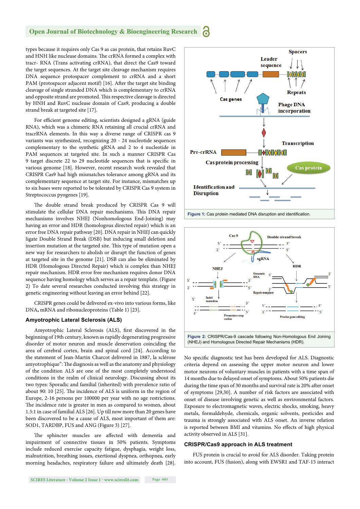#### **Open Journal of Biotechnology & Bioengineering Research**

types because it requires only Cas 9 as cas protein, that retains RuvC and HNH like nuclease domains. The crRNA formed a complex with tracr- RNA (Trans activating crRNA), that direct the Cas9 toward the target sequences. At the target site cleavage mechanism requires DNA sequence protospacer complement to crRNA and a short PAM (protospacer adjacent motif) [16]. After the target site binding cleavage of single stranded DNA which is complementary to crRNA and opposite strand are promoted. This respective cleavage is directed by HNH and RuvC nuclease domain of Cas9, producing a double strand break at targeted site [17].

For efficient genome editing, scientists designed a gRNA (guide RNA), which was a chimeric RNA retaining all crucial crRNA and tracrRNA elements. In this way a diverse range of CRISPR cas 9 variants was synthesized, recognizing 20 - 24 nucleotide sequences complementary to the synthetic gRNA and 2 to 4 nucleotide in PAM sequences at targeted site. In such a manner CRISPR Cas 9 target discrete 22 to 29 nucleotide sequences that is specific in various genome [18]. However, recent research work revealed that CRISPR Cas9 had high mismatches tolerance among gRNA and its complementary sequence at target site. For instance, mismatches up to six bases were reported to be tolerated by CRISPR Cas 9 system in Streptococcus pyogenes [19].

The double strand break produced by CRISPR Cas 9 will stimulate the cellular DNA repair mechanisms. This DNA repair mechanisms involves NHEJ (Nonhomologous End-Joining) may having an error and HDR (homologous directed repair) which is an error free DNA repair pathway [20]. DNA repair in NHEJ can quickly ligate Double Strand Break (DSB) but inducing small deletion and insertion mutation at the targeted site. This type of mutation open a new way for researchers to abolish or disrupt the function of genes at targeted site in the genome [21]. DSB can also be eliminated by HDR (Homologous Directed Repair) which is complex than NHEJ repair mechanism. HDR error free mechanism requires donor DNA sequence having homology which serves as a repair template. (Figure 2) To date several researches conducted involving this strategy in genetic engineering without leaving an error behind [22].

CRISPR genes could be delivered ex-vivo into various forms, like DNA**,** mRNA and ribonucleoproteins (Table 1) [23].

#### **Amyotrophic Lateral Sclerosis (ALS)**

Amyotrophic Lateral Sclerosis (ALS), first discovered in the beginning of 19th century, known as rapidly degenerating progressive disorder of motor neuron and muscle denervation coinciding the area of cerebral cortex, brain and spinal cord [24]. According to the statement of Jean-Martin Charcot delivered in 1887, la sclérose amyotrophique": The diagnosis as well as the anatomy and physiology of the condition ALS are one of the most completely understood conditions in the realm of clinical neurology. Discussing about its two types: Sporadic and familial (inherited) with prevalence ratio of about 90: 10  $[25]$ . The incidence of ALS is uniform in the region of Europe, 2-16 persons per 100000 per year with no age restrictions. The incidence rate is greater in men as compared to women, about 1.5:1 in case of familial ALS [26]. Up till now more than 20 genes have been discovered to be a cause of ALS, most important of them are: SOD1, TARDBP, FUS and ANG (Figure 3) [27].

The sphincter muscles are affected with dementia and impairment of connective tissues in 50% patients. Symptoms include reduced exercise capacity fatigue, dysphagia, weight loss, malnutrition, breathing issues, exertional dyspnea, orthopnea, early morning headaches, respiratory failure and ultimately death [28].



Figure 1: Cas protein mediated DNA disruption and identification.



No specific diagnostic test has been developed for ALS. Diagnostic criteria depend on assessing the upper motor neuron and lower motor neurons of voluntary muscles in patients with a time span of 14 months due to delayed onset of symptoms. About 50% patients die during the time span of 30 months and survival rate is 20% after onset of symptoms [29,30]. A number of risk factors are associated with onset of disease involving genetic as well as environmental factors. Exposure to electromagnetic waves, electric shocks, smoking, heavy metals, formaldehyde, chemicals, organic solvents, pesticides and trauma is strongly associated with ALS onset. An inverse relation is reported between BMI and vitamins. No effects of high physical activity observed in ALS [31].

#### **CRISPR/Cas9 approach in ALS treatment**

FUS protein is crucial to avoid for ALS disorder. Taking protein into account, FUS (fusion), along with EWSR1 and TAF-15 interact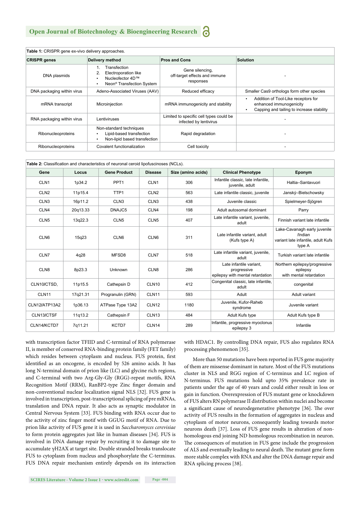| Table 1: CRISPR gene ex-vivo delivery approaches. |                                                                                                                           |                                                                   |                                                                                                                               |  |  |  |  |  |
|---------------------------------------------------|---------------------------------------------------------------------------------------------------------------------------|-------------------------------------------------------------------|-------------------------------------------------------------------------------------------------------------------------------|--|--|--|--|--|
| <b>CRISPR</b> genes                               | Delivery method                                                                                                           | <b>Pros and Cons</b>                                              | <b>Solution</b>                                                                                                               |  |  |  |  |  |
| DNA plasmids                                      | Transfection<br>2.<br>Electroporation like<br>Nucleofector 4D™<br>$\bullet$<br>Neon <sup>®</sup> Transfection System<br>٠ | Gene silencing,<br>off-target effects and immune<br>responses     |                                                                                                                               |  |  |  |  |  |
| DNA packaging within virus                        | Adeno-Associated Viruses (AAV)                                                                                            | Reduced efficacy                                                  | Smaller Cas9 orthologs form other species                                                                                     |  |  |  |  |  |
| mRNA transcript                                   | Microinjection                                                                                                            | mRNA immunogenicity and stability                                 | Addition of Tool-Like receptors for<br>$\bullet$<br>enhanced immunogenicity<br>Capping and tailing to increase stability<br>٠ |  |  |  |  |  |
| RNA packaging within virus                        | Lentiviruses                                                                                                              | Limited to specific cell types could be<br>infected by lentivirus |                                                                                                                               |  |  |  |  |  |
| Ribonucleoproteins                                | Non-standard techniques<br>Lipid-based transfection<br>٠<br>Non-lipid based transfection<br>٠                             | Rapid degradation                                                 |                                                                                                                               |  |  |  |  |  |
| Ribonucleoproteins                                | Covalent functionalization                                                                                                | Cell toxicity                                                     |                                                                                                                               |  |  |  |  |  |

| Table 2: Classification and characteristics of neuronal ceroid lipofuscinoses (NCLs). |          |                     |                   |                    |                                                                            |                                                                                         |  |  |
|---------------------------------------------------------------------------------------|----------|---------------------|-------------------|--------------------|----------------------------------------------------------------------------|-----------------------------------------------------------------------------------------|--|--|
| Gene                                                                                  | Locus    | <b>Gene Product</b> | <b>Disease</b>    | Size (amino acids) | <b>Clinical Phenotype</b>                                                  | Eponym                                                                                  |  |  |
| CLN <sub>1</sub>                                                                      | 1p34.2   | PPT <sub>1</sub>    | CLN <sub>1</sub>  | 306                | Infantile classic, late infantile,<br>juvenile, adult                      | Haltia-Santavuori                                                                       |  |  |
| CLN <sub>2</sub>                                                                      | 11p15.4  | TTP <sub>1</sub>    | CLN <sub>2</sub>  | 563                | Late infantile classic, juvenile                                           | Janský-Bielschowsky                                                                     |  |  |
| CLN <sub>3</sub>                                                                      | 16p11.2  | CLN <sub>3</sub>    | CLN <sub>3</sub>  | 438                | Juvenile classic                                                           | Spielmeyer-Sjögren                                                                      |  |  |
| CLN4                                                                                  | 20q13.33 | DNAJC5              | CLN4              | 198                | Adult autosomal dominant                                                   | Parry                                                                                   |  |  |
| CLN <sub>5</sub>                                                                      | 13g22.3  | CLN <sub>5</sub>    | CLN <sub>5</sub>  | 407                | Late infantile variant, juvenile,<br>adult                                 | Finnish variant late infantile                                                          |  |  |
| CLN <sub>6</sub>                                                                      | 15g23    | CLN6                | CLN <sub>6</sub>  | 311                | Late infantile variant, adult<br>(Kufs type A)                             | Lake-Cavanagh early juvenile<br>/Indian<br>variant late infantile, adult Kufs<br>type A |  |  |
| CLN7                                                                                  | 4q28     | MFSD8               | CLN7              | 518                | Late infantile variant, juvenile,<br>adult                                 | Turkish variant late infantile                                                          |  |  |
| CLN8                                                                                  | 8p23.3   | Unknown             | CLN <sub>8</sub>  | 286                | Late infantile variant.<br>progressive<br>epilepsy with mental retardation | Northern epilepsy/progressive<br>epilepsy<br>with mental retardation                    |  |  |
| CLN10/CTSD,                                                                           | 11p15.5  | Cathepsin D         | CLN <sub>10</sub> | 412                | Congenital classic, late infantile,<br>adult                               | congenital                                                                              |  |  |
| CLN <sub>11</sub>                                                                     | 17g21.31 | Progranulin (GRN)   | <b>CLN11</b>      | 593                | Adult                                                                      | Adult variant                                                                           |  |  |
| CLN12/ATP13A2                                                                         | 1p36.13  | ATPase Type 13A2    | CLN <sub>12</sub> | 1180               | Juvenile, Kufor-Raheb<br>syndrome                                          | Juvenile variant                                                                        |  |  |
| CLN13/CTSF                                                                            | 11g13.2  | Cathepsin F         | CLN <sub>13</sub> | 484                | Adult Kufs type                                                            | Adult Kufs type B                                                                       |  |  |
| CLN14/KCTD7                                                                           | 7q11.21  | KCTD7               | CLN <sub>14</sub> | 289                | Infantile, progressive myoclonus<br>epilepsy 3                             | Infantile                                                                               |  |  |

with transcription factor TFIID and C-terminal of RNA polymerase II, is member of conserved RNA-binding protein family (FET family) which resides between cytoplasm and nucleus. FUS protein, first identified as an oncogene, is encoded by 526 amino acids. It has long N-terminal domain of prion like (LC) and glycine rich regions, and C-terminal with two Arg-Gly-Gly (RGG)-repeat motifs, RNA Recognition Motif (RRM), RanBP2-type Zinc finger domain and non-conventional nuclear localization signal NLS [32]. FUS gene is involved in transcription, post-transcriptional splicing of pre mRNAs, translation and DNA repair. It also acts as synaptic modulator in Central Nervous System [33]. FUS binding with RNA occur due to the activity of zinc finger motif with GGUG motif of RNA. Due to prion like activity of FUS gene it is used in *Saccharomyces cerevisiae* to form protein aggregates just like in human diseases [34]. FUS is involved in DNA damage repair by recruiting it to damage site to accumulate γH2AX at target site. Double stranded breaks translocate FUS to cytoplasm from nucleus and phosphorylate the C-terminus. FUS DNA repair mechanism entirely depends on its interaction

with HDAC1. By controlling DNA repair, FUS also regulates RNA processing phenomenon [35].

More than 50 mutations have been reported in FUS gene majority of them are missense dominant in nature. Most of the FUS mutations cluster in NLS and RGG region of C-terminus and LC region of N-terminus. FUS mutations hold upto 35% prevalence rate in patients under the age of 40 years and could either result in loss or gain in function. Overexpression of FUS mutant gene or knockdown of FUS alters RN polymerase II distribution within nuclei and become a significant cause of neurodegenerative phenotype [36]. The over activity of FUS results in the formation of aggregates in nucleus and cytoplasm of motor neurons, consequently leading towards motor neurons death [37]. Loss of FUS gene results in alteration of nonhomologous end joining ND homologous recombination in neuron. The consequences of mutation in FUS gene include the progression of ALS and eventually leading to neural death. The mutant gene form more stable complex with RNA and alter the DNA damage repair and RNA splicing process [38].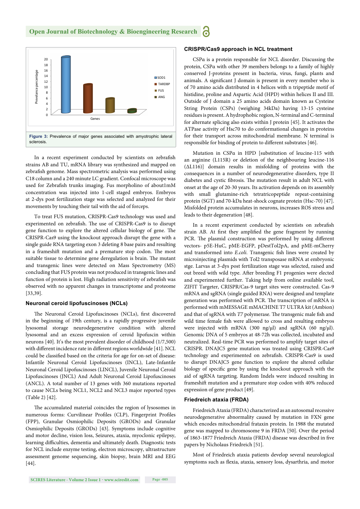

In a recent experiment conducted by scientists on zebrafish strains AB and TU, mRNA library was synthesized and mapped on zebrafish genome. Mass spectrometric analysis was performed using C18 column and a 240 minute LC gradient. Confocal microscope was used for Zebrafish trunks imaging. Fus morpholino of about1mM concentration was injected into 1-cell staged embryos. Embryos at 2-dys post fertilization stage was selected and analyzed for their movements by touching their tail with the aid of forceps.

To treat FUS mutation, CRISPR-Cas9 technology was used and experimented on zebrafish. The use of CRISPR-Cas9 is to disrupt gene function to explore the altered cellular biology of gene. The CRISPR-Cas9 using the knockout approach disrupt the gene with a single guide RNA targeting exon 3 deleting 8 base pairs and resulting in a frameshift mutation and a premature stop codon. The most suitable tissue to determine gene deregulation is brain. The mutant and transgenic lines were detected on Mass Spectrometry (MS) concluding that FUS protein was not produced in transgenic lines and function of protein is lost. High radiation sensitivity of zebrafish was observed with no apparent changes in transcriptome and proteome [33,39].

#### **Neuronal ceroid lipofuscinoses (NCLs)**

The Neuronal Ceroid Lipofuscinoses (NCLs), first discovered in the beginning of 19th century, is a rapidly progressive juvenile lysosomal storage neurodegenerative condition with altered lysosomal and an excess expression of ceroid lipofuscin within neurons [40]. It's the most prevalent disorder of childhood (1/7,500) with different incidence rate in different regions worldwide [41]. NCL could be classified based on the criteria for age for on-set of disease: Infantile Neuronal Ceroid Lipofuscinoses (INCL), Late-Infantile Neuronal Ceroid Lipofuscinoses (LINCL), Juvenile Neuronal Ceroid Lipofuscinoses (JNCL) And Adult Neuronal Ceroid Lipofuscinoses (ANCL). A total number of 13 genes with 360 mutations reported to cause NCLs being NCL1, NCL2 and NCL3 major reported types (Table 2) [42].

The accumulated material coincides the region of lysosomes in numerous forms: Curvilinear Profiles (CLP), Fingerprint Profiles (FPP), Granular Osmiophilic Deposits (GRODs) and Granular Osmiophilic Deposits (GRODs) [43]. Symptoms include cognitive and motor decline, vision loss, Seizures, ataxia, myoclonic epilepsy, learning difficulties, dementia and ultimately death. Diagnostic tests for NCL include enzyme testing, electron microscopy, ultrastructure assessment genome sequencing, skin biopsy, brain MRI and EEG [44].

#### **CRISPR/Cas9 approach in NCL treatment**

CSPα is a protein responsible for NCL disorder. Discussing the protein, CSPα with other 39 members belongs to a family of highly conserved J-proteins present in bacteria, virus, fungi, plants and animals. A significant J domain is present in every member who is of 70 amino acids distributed in 4 helices with n tripeptide motif of histidine, proline and Aspartic Acid (HPD) within helices II and III. Outside of J domain a 25 amino acids domain known as Cysteine String Protein (CSPs) (weighing 34kDa) having 13-15 cysteine residues is present. A hydrophobic region, N-terminal and C-terminal for alternate splicing also exists within J protein [45]. It activates the ATPase activity of Hsc70 to do conformational changes in proteins for their transport across mitochondrial membrane. N terminal is responsible for binding of protein to different substrates [46].

Mutation in CSPα in HPD [substitution of leucine-115 with an arginine (L115R) or deletion of the neighbouring leucine-116 (ΔL116)] domain results in misfolding of proteins with the consequences in a number of neurodegenerative disorders, type II diabetes and cystic fibrosis. The mutation result in adult NCL with onset at the age of 20-30 years. Its activation depends on its assembly with small glutamine-rich tetratricopeptide repeat-containing protein (SGT) and 70-kDa heat-shock cognate protein (Hsc-70) [47]. Misfolded protein accumulates in neurons, increases ROS stress and leads to their degeneration [48].

In a recent experiment conducted by scientists on zebrafish strain AB. At first they amplified the gene fragment by running PCR. The plasmid construction was performed by using different vectors- p5E‐HuC, pME‐EGFP, pDestTol2pA, and pME‐mCherry and transformed into *E.coli*. Transgenic fish lines were created by microinjecting plasmids with Tol2 transposase mRNA at embryonic stge. Larvas at 3-dys post fertilization stage was selected, raised and out breed with wild type. After breeding F1 progenies were elected and experimented further. Taking help from online available tool, ZIFIT Targeter, CRISPR/Cas-9 target sites were constructed. Cas-9 mRNA and sgRNA (single guided RNA) were designed and template generation was performed with PCR. The transcription of mRNA is performed with mMESSAGE mMACHINE T7 ULTRA kit (Ambion) and that of sgRNA with *T7* polymerase. The transgenic male fish and wild time female fish were allowed to cross and resulting embryos were injected with mRNA (300 ng/μl) and sgRNA (60 ng/μl). Genomic DNA of 5 embryos at 48‐72h was collected, incubated and neutralized. Real-time PCR was performed to amplify target sites of CRISPR. DNAJC5 gene mutation was treated using CRISPR-Cas9 technology and experimented on zebrafish. CRISPR-Cas9 is used to disrupt DNAJC5 gene function to explore the altered cellular biology of specific gene by using the knockout approach with the aid of sgRNA targeting. Random Indels were induced resulting in frameshift mutation and a premature stop codon with 40% reduced expression of gene product [49].

#### **Friedreich ataxia (FRDA)**

Friedreich Ataxia (FRDA) characterized as an autosomal recessive neurodegenerative abnormality caused by mutation in FXN gene which encodes mitochondrial frataxin protein. In 1988 the mutated gene was mapped to chromosome 9 in FRDA [50]. Over the period of 1863-1877 Friedreich Ataxia (FRDA) disease was described in five papers by Nicholaus Friedreich [51].

Most of Friedreich ataxia patients develop several neurological symptoms such as flexia, ataxia, sensory loss, dysarthria, and motor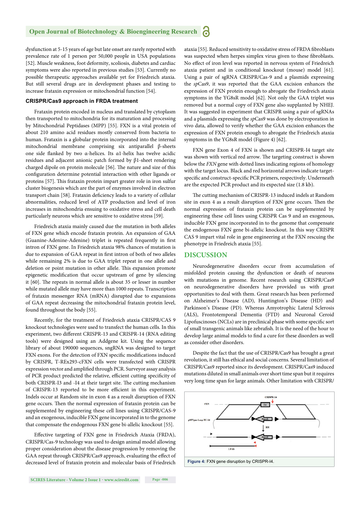#### **Open Journal of Biotechnology & Bioengineering Research** Ъ

dysfunction at 5-15 years of age but late onset are rarely reported with prevalence rate of 1 person per 50,000 people in USA populations [52]. Muscle weakness, foot deformity, scoliosis, diabetes and cardiac symptoms were also reported in previous studies [53]. Currently no possible therapeutic approaches available yet for Friedreich ataxia. But still several drugs are in development phases and testing to increase frataxin expression or mitochondrial function [54].

#### **CRISPR/Cas9 approach in FRDA treatment**

Frataxin protein encoded in nucleus and translated by cytoplasm then transported to mitochondria for its maturation and processing by Mitochondrial Peptidases (MPP) [55]. FXN is a vital protein of about 210 amino acid residues mostly conserved from bacteria to human. Frataxin is a globular protein incorporated into the internal mitochondrial membrane comprising six antiparallel β-sheets one side flanked by two α-helices. Its α1-helix has twelve acidic residues and adjacent anionic patch formed by β1-sheet rendering charged dipole on protein molecule [56]. The nature and size of this configuration determine potential interaction with other ligands or proteins [57]. This frataxin protein impart greater role in iron sulfur cluster biogenesis which are the part of enzymes involved in electron transport chain [58]. Frataxin deficiency leads to a variety of cellular abnormalities, reduced level of ATP production and level of iron increases in mitochondria ensuing to oxidative stress and cell death particularly neurons which are sensitive to oxidative stress [59].

Friedreich ataxia mainly caused due the mutation in both alleles of FXN gene which encode frataxin protein. An expansion of GAA (Guanine-Adenine-Adenine) triplet is repeated frequently in first intron of FXN gene. In Friedreich ataxia 98% chances of mutation is due to expansion of GAA repeat in first intron of both of two alleles while remaining 2% is due to GAA triplet repeat in one allele and deletion or point mutation in other allele. This expansion promote epigenetic modification that occur upstream of gene by silencing it [60]. The repeats in normal allele is about 35 or lesser in number while mutated allele may have more than 1000 repeats. Transcription of frataxin messenger RNA (mRNA) disrupted due to expansions of GAA repeat decreasing the mitochondrial frataxin protein level, found throughout the body [55].

Recently, for the treatment of Friedreich ataxia CRISPR/CAS 9 knockout technologies were used to transfect the human cells. In this experiment, two different CRISPR-13 and CRISPR-14 (RNA editing tools) were designed using an Addgene kit. Using the sequence library of about 190000 sequences, sngRNA was designed to target FXN exons. For the detection of FXN specific modifications induced by CRISPR, T-REx293-cFXN cells were transfected with CRISPR expression vector and amplified through PCR. Surveyor assay analysis of PCR product predicted the relative, efficient cutting specificity of both CRISPR-I3 and -I4 at their target site. The cutting mechanism of CRISPR-13 reported to be more efficient in this experiment. Indels occur at Random site in exon 4 as a result disruption of FXN gene occurs. Then the normal expression of frataxin protein can be supplemented by engineering these cell lines using CRISPR/CAS-9 and an exogenous, inducible FXN gene incorporated in to the genome that compensate the endogenous FXN gene bi-allelic knockout [55].

Effective targeting of FXN gene in Friedreich Ataxia (FRDA), CRISPR/Cas-9 technology was used to design animal model allowing proper consideration about the disease progression by removing the GAA repeat through CRISPR/Cas9 approach, evaluating the effect of decreased level of frataxin protein and molecular basis of Friedreich ataxia [55]. Reduced sensitivity to oxidative stress of FRDA fibroblasts was suspected when herpes simplex virus given to these fibroblasts. No effect of iron level was reported in nervous system of Friedreich ataxia patient and in conditional knockout (mouse) model [61]. Using a pair of sgRNA CRISPR/Cas-9 and a plasmids expressing the *sp*Cas9, it was reported that the GAA excision enhances the expression of FXN protein enough to abrogate the Friedreich ataxia symptoms in the YG8sR model [62]. Not only the GAA triplet was removed but a normal copy of FXN gene also supplanted by NHEJ. It was suggested in experiment that CRISPR using a pair of sgRNAs and a plasmids expressing the *sp*Cas9 was done by electroporation in vivo data, allowed to verify whether the GAA excision enhances the expression of FXN protein enough to abrogate the Friedreich ataxia symptoms in the YG8sR model (Figure 4) [62].

FXN gene Exon 4 of FXN is shown and CRISPR-I4 target site was shown with vertical red arrow. The targeting construct is shown below the *FXN* gene with dotted lines indicating regions of homology with the target locus. Black and red horizontal arrows indicate targetspecific and construct-specific PCR primers, respectively. Underneath are the expected PCR product and its expected size (1.8 kb).

The cutting mechanism of CRISPR-13 induced indels at Random site in exon 4 as a result disruption of FXN gene occurs. Then the normal expression of frataxin protein can be supplemented by engineering these cell lines using CRISPR Cas 9 and an exogenous, inducible FXN gene incorporated in to the genome that compensate the endogenous FXN gene bi-allelic knockout. In this way CRISPR CAS 9 impart vital role in gene engineering at the FXN rescuing the phenotype in Friedreich ataxia [55].

#### **DISCUSSION**

Neurodegenerative disorders occur from accumulation of misfolded protein causing the dysfunction or death of neurons with mutations in genome. Recent research using CRISPR/Cas9 on neurodegenerative disorders have provided us with great opportunities to deal with them. Great research has been performed on Alzheimer's Disease (AD), Huntington's Disease (HD) and Parkinson's Disease (PD). Whereas Amyotrophic Lateral Sclerosis (ALS), Frontotemporal Dementia (FTD) and Neuronal Ceroid Lipofuscinoses (NCLs) are in preclinical phase with some specific sort of small transgenic animals like zebrafish. It is the need of the hour to develop large animal models to find a cure for these disorders as well as consider other disorders.

Despite the fact that the use of CRISPR/Cas9 has brought a great revolution, it still has ethical and social concerns. Several limitation of CRISPR/Cas9 reported since its development. CRISPR/Cas9 induced mutations diluted in small animals over short time span but it requires very long time span for large animals. Other limitation with CRISPR/

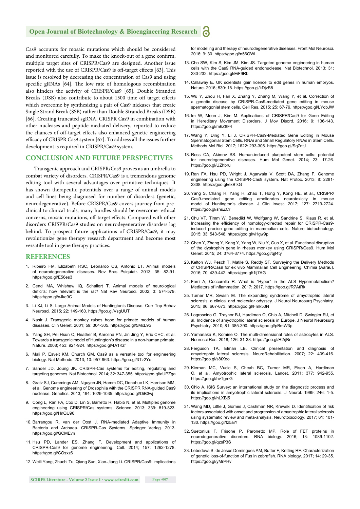#### **Open Journal of Biotechnology & Bioengineering Research**

Cas9 accounts for mosaic mutations which should be considered and monitored carefully. To make the knock-out of a gene confirm, multiple target sites of CRISPR/Cas9 are designed. Another issue reported with the use of CRISPR/Cas9 is off-target effects [63]. This issue is resolved by decreasing the concentration of Cas9 and using specific gRNAs [64]. The low rate of homologous recombination also hinders the activity of CRISPR/Cas9 [65]. Double Stranded Breaks (DSB) also contribute to about 1500 time off target effects which overcome by synthesizing a pair of Cas9 nickases that create Single Strand Break (SSB) rather than Double Stranded Breaks (DSB) [66]. Creating truncated sgRNA, CRISPR Cas9 in combination with other nucleases and peptide mediated delivery, reported to reduce the chances of off-target effects also enhanced genetic engineering efficacy of CRISPR Cas9 system [67]. To address all the issues further development is required in CRISPR/Cas9 system.

#### **CONCLUSION AND FUTURE PERSPECTIVES**

Transgenic approach and CRISPR/Cas9 proves as an umbrella to combat variety of disorders. CRISPR/Cas9 is a tremendous genome editing tool with several advantages over primitive techniques. It has shown therapeutic potentials over a range of animal models and cell lines being diagnosed for number of disorders (genetic, neurodegenerative). Before CRISPR/Cas9 covers journey from preclinical to clinical trials, many hurdles should be overcome- ethical concerns, mosaic mutations, off-target effects. Compared with other disorders CRISPR/Cas9 studies on neurodegenerative disorders lag behind. To prospect future applications of CRISPR/Cas9, it may revolutionize gene therapy research department and become most versatile tool in gene therapy practices.

#### **REFERENCES**

- 1. Ribeiro FM, Elizabeth RSC, Leonardo CS, Antonio LT. Animal models of neurodegenerative diseases. Rev Bras Psiquiatr. 2013; 35: 82-91. https://goo.gl/E56es3
- 2. Cenci MA, Whishaw IQ, Schallert T. Animal models of neurological deficits: how relevant is the rat? Nat Rev Neurosci. 2002; 3: 574-579. https://goo.gl/xJke9C
- 3. Li XJ, Li S. Large Animal Models of Huntington's Disease. Curr Top Behav Neurosci. 2015; 22: 149-160. https://goo.gl/VsgUUT
- 4. Nasir J. Transgenic monkey raises hope for primate models of human diseases. Clin Genet. 2001; 59: 304-305. https://goo.gl/5MxL9o
- 5. Yang SH, Pei Hsun C, Heather B, Karolina PN, Jin Jing Y, Eric CHC, et al. Towards a transgenic model of Huntington's disease in a non-human primate. Nature. 2008; 453: 921-924. https://goo.gl/4A1Kzf
- 6. Mali P, Esvelt KM, Church GM. Cas9 as a versatile tool for engineering biology. Nat Methods. 2013; 10: 957-963. https://goo.gl/3Tz2Yo
- 7. Sander JD, Joung JK. CRISPR-Cas systems for editing, regulating and targeting genomes. Nat Biotechnol. 2014; 32: 347-355. https://goo.gl/aUPZga
- 8. Gratz SJ, Cummings AM, Nguyen JN, Hamm DC, Donohue LK, Harrison MM, et al. Genome engineering of Drosophila with the CRISPR RNA-guided Cas9 nuclease. Genetics. 2013; 194: 1029-1035. https://goo.gl/DiB3wj
- 9. Cong L, Ran FA, Cox D, Lin S, Barretto R, Habib N, et al. Multiplex genome engineering using CRISPR/Cas systems. Science. 2013; 339: 819-823. https://goo.gl/HnQU96
- 10. Barrangou R, van der Oost J. RNA-mediated Adaptive Immunity in Bacteria and Archaea. CRISPR-Cas Systems. Springer Verlag. 2013. https://goo.gl/GCMEvn
- 11. Hsu PD, Lander ES, Zhang F. Development and applications of CRISPR-Cas9 for genome engineering. Cell. 2014; 157: 1262-1278. https://goo.gl/COsxz6
- 12. Weili Yang, Zhuchi Tu, Qiang Sun, Xiao-Jiang Li. CRISPR/Cas9: implications

for modeling and therapy of neurodegenerative diseases. Front Mol Neurosci. 2016; 9: 30. https://goo.gl/n56QWL

- 13. Cho SW, Kim S, Kim JM, Kim JS. Targeted genome engineering in human cells with the Cas9 RNA-guided endonuclease. Nat Biotechnol. 2013; 31: 230-232. https://goo.gl/EiF9Rb
- 14. Callaway E. UK scientists gain licence to edit genes in human embryos. Nature. 2016; 530: 18. https://goo.gl/kDjzB8
- 15. Wu Y, Zhou H, Fan X, Zhang Y, Zhang M, Wang Y, et al. Correction of a genetic disease by CRISPR-Cas9-mediated gene editing in mouse spermatogonial stem cells. Cell Res. 2015; 25: 67-79. https://goo.gl/LYdbJW
- 16. Im W, Moon J, Kim M. Applications of CRISPR/Cas9 for Gene Editing in Hereditary Movement Disorders. J Mov Disord. 2016; 9: 136-143. https://goo.gl/m6Z8F4
- 17. Wang Y, Ding Y, Li J. CRISPR-Cas9-Mediated Gene Editing in Mouse Spermatogonial Stem Cells. RNAi and Small Regulatory RNAs in Stem Cells. Methods Mol Biol. 2017; 1622: 293-305. https://goo.gl/Sq7ntJ
- 18. Ross CA, Akimov SS. Human-induced pluripotent stem cells: potential for neurodegenerative diseases. Hum Mol Genet. 2014; 23: 17-26. https://goo.gl/UZhbru
- 19. Ran FA, Hsu PD, Wright J, Agarwala V, Scott DA, Zhang F. Genome engineering using the CRISPR-Cas9 system. Nat Protoc. 2013; 8: 2281- 2308. https://goo.gl/exBtkG
- 20. Yang S, Chang R, Yang H, Zhao T, Hong Y, Kong HE, et al., CRISPR/ Cas9-mediated gene editing ameliorates neurotoxicity in mouse model of Huntington's disease. J Clin Invest. 2017; 127: 2719-2724. https://goo.gl/shuZCr
- 21. Chu VT, Timm W, Benedikt W, Wolfgang W, Sandrine S, Klaus R, et al. Increasing the efficiency of homology-directed repair for CRISPR-Cas9induced precise gene editing in mammalian cells. Nature biotechnology. 2015; 33: 543-548. https://goo.gl/vHgw9p
- 22. Chen Y, Zheng Y, Kang Y, Yang W, Niu Y, Guo X, et al. Functional disruption of the dystrophin gene in rhesus monkey using CRISPR/Cas9. Hum Mol Genet. 2015; 24: 3764-3774. https://goo.gl/qjt4ty
- 23. Kelton WJ, Pesch T, Matile S, Reddy ST. Surveying the Delivery Methods of CRISPR/Cas9 for ex vivo Mammalian Cell Engineering. Chimia (Aarau). 2016; 70: 439-442. https://goo.gl/1ij7AG
- 24. Ferri A, Coccurello R. What is "Hyper" in the ALS Hypermetabolism? Mediators of inflammation. 2017; 2017. https://goo.gl/R7AtRk
- 25. Turner MR, Swash M. The expanding syndrome of amyotrophic lateral sclerosis: a clinical and molecular odyssey. J Neurol Neurosurg Psychiatry. 2015; 86: 667-673. https://goo.gl/Fmk53N
- 26. Logroscino G, Traynor BJ, Hardiman O, Chio A, Mitchell D, Swingler RJ, et al. Incidence of amyotrophic lateral sclerosis in Europe. J Neurol Neurosurg Psychiatry. 2010; 81: 385-390. https://goo.gl/pBmW3p
- 27. Yamanaka K, Komine O. The multi-dimensional roles of astrocytes in ALS. Neurosci Res. 2018; 126: 31-38. https://goo.gl/R2rjBr
- 28. Ferguson TA, Elman LB. Clinical presentation and diagnosis of amyotrophic lateral sclerosis. NeuroRehabilitation. 2007; 22: 409-416. https://goo.gl/s8tXeo
- 29. Kiernan MC, Vucic S, Cheah BC, Turner MR, Eisen A, Hardiman O, et al. Amyotrophic lateral sclerosis. Lancet. 2011; 377: 942-955. https://goo.gl/hvTgmG
- 30. Chio A. ISIS Survey: an international study on the diagnostic process and its implications in amyotrophic lateral sclerosis. J Neurol. 1999; 246: 1-5. https://goo.gl/nLXBj5
- 31. Wang MD, Little J, Gomes J, Cashman NR, Krewski D. Identification of risk factors associated with onset and progression of amyotrophic lateral sclerosis using systematic review and meta-analysis. Neurotoxicology. 2017; 61: 101- 130. https://goo.gl/fz5aiY
- 32. Suetonius F, Frisone P, Paronetto MP. Role of FET proteins in neurodegenerative disorders. RNA biology. 2016; 13: 1089-1102. https://goo.gl/qzsP3S
- 33. Lebedeva S, de Jesus Domingues AM, Butter F, Ketting RF. Characterization of genetic loss-of-function of Fus in zebrafish. RNA biology. 2017; 14: 29-35. https://goo.gl/yMrPHv